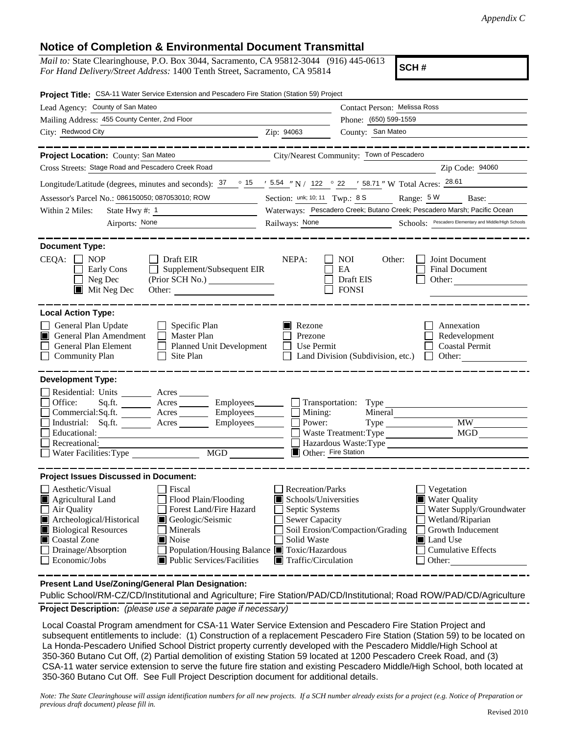## **Notice of Completion & Environmental Document Transmittal**

*Mail to:* State Clearinghouse, P.O. Box 3044, Sacramento, CA 95812-3044 (916) 445-0613 *For Hand Delivery/Street Address:* 1400 Tenth Street, Sacramento, CA 95814

**SCH #**

| Project Title: CSA-11 Water Service Extension and Pescadero Fire Station (Station 59) Project                                                                                                                                                                                                                                                                                                                                              |                                                                                                                                          |                                                                                                                                                                                               |  |  |  |  |  |
|--------------------------------------------------------------------------------------------------------------------------------------------------------------------------------------------------------------------------------------------------------------------------------------------------------------------------------------------------------------------------------------------------------------------------------------------|------------------------------------------------------------------------------------------------------------------------------------------|-----------------------------------------------------------------------------------------------------------------------------------------------------------------------------------------------|--|--|--|--|--|
| Lead Agency: County of San Mateo                                                                                                                                                                                                                                                                                                                                                                                                           | Contact Person: Melissa Ross                                                                                                             |                                                                                                                                                                                               |  |  |  |  |  |
| Mailing Address: 455 County Center, 2nd Floor                                                                                                                                                                                                                                                                                                                                                                                              |                                                                                                                                          | Phone: (650) 599-1559                                                                                                                                                                         |  |  |  |  |  |
| City: Redwood City                                                                                                                                                                                                                                                                                                                                                                                                                         | Zip: 94063                                                                                                                               | County: San Mateo                                                                                                                                                                             |  |  |  |  |  |
| Project Location: County: San Mateo<br>Cross Streets: Stage Road and Pescadero Creek Road                                                                                                                                                                                                                                                                                                                                                  | City/Nearest Community: Town of Pescadero<br>Zip Code: 94060                                                                             |                                                                                                                                                                                               |  |  |  |  |  |
| Longitude/Latitude (degrees, minutes and seconds): $\frac{37}{15}$ $\frac{15}{15}$ $\frac{15}{15}$ $\frac{15}{15}$ $\frac{15}{15}$ $\frac{15}{15}$ $\frac{15}{15}$ $\frac{15}{15}$ $\frac{15}{15}$ $\frac{15}{15}$ $\frac{15}{15}$ $\frac{15}{15}$ $\frac{15}{15}$ $\frac{15}{15}$ $\frac$                                                                                                                                                 |                                                                                                                                          |                                                                                                                                                                                               |  |  |  |  |  |
| Assessor's Parcel No.: 086150050; 087053010; ROW                                                                                                                                                                                                                                                                                                                                                                                           | Section: unk; 10; 11 Twp.: 8 S Range: 5 W<br>Base:                                                                                       |                                                                                                                                                                                               |  |  |  |  |  |
| State Hwy #: $1$<br>Within 2 Miles:                                                                                                                                                                                                                                                                                                                                                                                                        | Waterways: Pescadero Creek; Butano Creek; Pescadero Marsh; Pacific Ocean                                                                 |                                                                                                                                                                                               |  |  |  |  |  |
| Airports: None                                                                                                                                                                                                                                                                                                                                                                                                                             | Railways: None<br>Schools: Pescadero Elementary and Middle/High Schools                                                                  |                                                                                                                                                                                               |  |  |  |  |  |
|                                                                                                                                                                                                                                                                                                                                                                                                                                            |                                                                                                                                          |                                                                                                                                                                                               |  |  |  |  |  |
| <b>Document Type:</b><br>CEQA:<br><b>NOP</b><br>Draft EIR<br>Supplement/Subsequent EIR<br>Early Cons<br>Neg Dec<br>$\blacksquare$ Mit Neg Dec<br>Other:                                                                                                                                                                                                                                                                                    | NEPA:                                                                                                                                    | NOI<br>Joint Document<br>Other:<br>EA<br>Final Document<br>Draft EIS<br>Other:<br><b>FONSI</b>                                                                                                |  |  |  |  |  |
| <b>Local Action Type:</b><br>General Plan Update<br>Specific Plan<br>General Plan Amendment<br>Master Plan<br>шı<br>General Plan Element<br>Planned Unit Development<br><b>Community Plan</b><br>Site Plan                                                                                                                                                                                                                                 | Rezone<br>Prezone<br><b>Use Permit</b>                                                                                                   | Annexation<br>Redevelopment<br><b>Coastal Permit</b><br>Other:<br>Land Division (Subdivision, etc.)                                                                                           |  |  |  |  |  |
| <b>Development Type:</b><br>Residential: Units ________ Acres ______<br>Office:<br>Sq.ft.<br>$\Box$ Transportation: Type<br>Commercial:Sq.ft. _______ Acres _______<br>Employees_______<br>$\blacksquare$ Mining:<br>Mineral<br><b>MW</b><br>Industrial: Sq.ft. Acres<br>Power:<br>Employees_______<br>MGD<br>Educational:<br>Recreational:<br>Hazardous Waste: Type<br><b>MGD</b><br>Water Facilities: Type<br><b>Other:</b> Fire Station |                                                                                                                                          |                                                                                                                                                                                               |  |  |  |  |  |
| <b>Project Issues Discussed in Document:</b><br>Aesthetic/Visual<br>Fiscal<br>Flood Plain/Flooding<br>Agricultural Land<br>Air Quality<br>Forest Land/Fire Hazard<br>Archeological/Historical<br>Geologic/Seismic<br><b>Biological Resources</b><br>Minerals<br>Coastal Zone<br>$\blacksquare$ Noise<br>Drainage/Absorption<br>Population/Housing Balance ■ Toxic/Hazardous<br>Economic/Jobs<br> ■ Public Services/Facilities              | Recreation/Parks<br>Schools/Universities<br>Septic Systems<br><b>Sewer Capacity</b><br>Solid Waste<br>$\blacksquare$ Traffic/Circulation | Vegetation<br><b>Water Quality</b><br>Water Supply/Groundwater<br>Wetland/Riparian<br>Soil Erosion/Compaction/Grading<br>Growth Inducement<br>Land Use<br><b>Cumulative Effects</b><br>Other: |  |  |  |  |  |

**Present Land Use/Zoning/General Plan Designation:**

**Project Description:** *(please use a separate page if necessary)* Public School/RM-CZ/CD/Institutional and Agriculture; Fire Station/PAD/CD/Institutional; Road ROW/PAD/CD/Agriculture

 Local Coastal Program amendment for CSA-11 Water Service Extension and Pescadero Fire Station Project and subsequent entitlements to include: (1) Construction of a replacement Pescadero Fire Station (Station 59) to be located on La Honda-Pescadero Unified School District property currently developed with the Pescadero Middle/High School at 350-360 Butano Cut Off, (2) Partial demolition of existing Station 59 located at 1200 Pescadero Creek Road, and (3) CSA-11 water service extension to serve the future fire station and existing Pescadero Middle/High School, both located at 350-360 Butano Cut Off. See Full Project Description document for additional details.

*Note: The State Clearinghouse will assign identification numbers for all new projects. If a SCH number already exists for a project (e.g. Notice of Preparation or previous draft document) please fill in.*